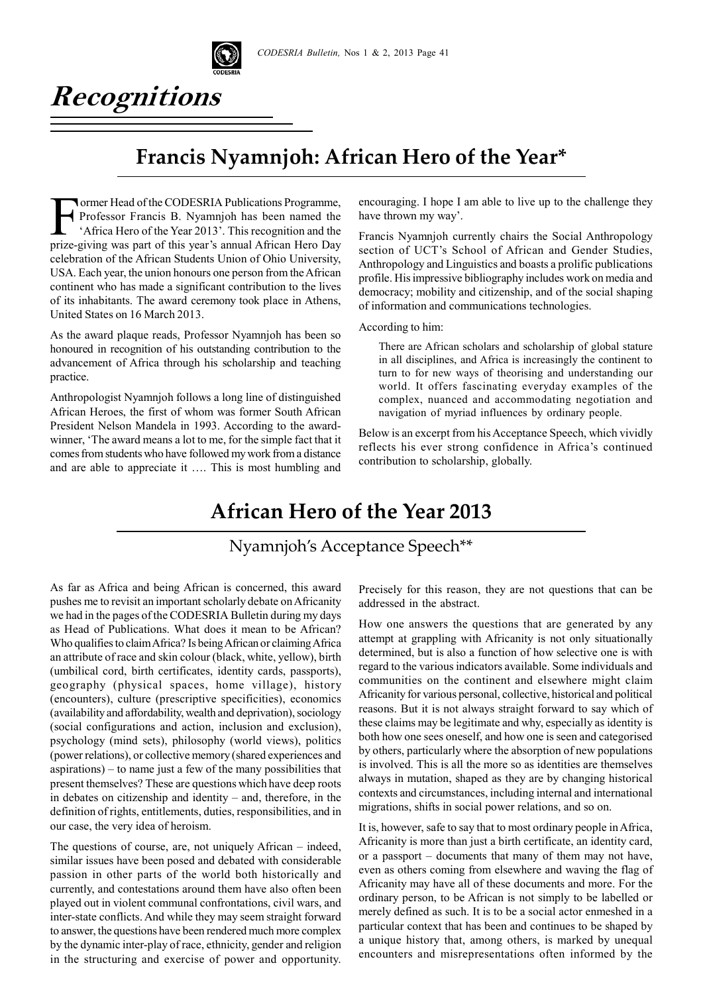

# **Recognitions**

## **Francis Nyamnjoh: African Hero of the Year\***

Former Head of the CODESRIA Publications Programme,<br>Professor Francis B. Nyamnjoh has been named the<br>'Africa Hero of the Year 2013'. This recognition and the<br>prize-giving was part of this year's annual African Hero Day Professor Francis B. Nyamnjoh has been named the 'Africa Hero of the Year 2013'. This recognition and the prize-giving was part of this year's annual African Hero Day celebration of the African Students Union of Ohio University, USA. Each year, the union honours one person from the African continent who has made a significant contribution to the lives of its inhabitants. The award ceremony took place in Athens, United States on 16 March 2013.

As the award plaque reads, Professor Nyamnjoh has been so honoured in recognition of his outstanding contribution to the advancement of Africa through his scholarship and teaching practice.

Anthropologist Nyamnjoh follows a long line of distinguished African Heroes, the first of whom was former South African President Nelson Mandela in 1993. According to the awardwinner, 'The award means a lot to me, for the simple fact that it comes from students who have followed my work from a distance and are able to appreciate it …. This is most humbling and encouraging. I hope I am able to live up to the challenge they have thrown my way'.

Francis Nyamnjoh currently chairs the Social Anthropology section of UCT's School of African and Gender Studies, Anthropology and Linguistics and boasts a prolific publications profile. His impressive bibliography includes work on media and democracy; mobility and citizenship, and of the social shaping of information and communications technologies.

According to him:

There are African scholars and scholarship of global stature in all disciplines, and Africa is increasingly the continent to turn to for new ways of theorising and understanding our world. It offers fascinating everyday examples of the complex, nuanced and accommodating negotiation and navigation of myriad influences by ordinary people.

Below is an excerpt from his Acceptance Speech, which vividly reflects his ever strong confidence in Africa's continued contribution to scholarship, globally.

## **African Hero of the Year 2013**

## Nyamnjoh's Acceptance Speech\*\*

As far as Africa and being African is concerned, this award pushes me to revisit an important scholarly debate on Africanity we had in the pages of the CODESRIA Bulletin during my days as Head of Publications. What does it mean to be African? Who qualifies to claim Africa? Is being African or claiming Africa an attribute of race and skin colour (black, white, yellow), birth (umbilical cord, birth certificates, identity cards, passports), geography (physical spaces, home village), history (encounters), culture (prescriptive specificities), economics (availability and affordability, wealth and deprivation), sociology (social configurations and action, inclusion and exclusion), psychology (mind sets), philosophy (world views), politics (power relations), or collective memory (shared experiences and aspirations) – to name just a few of the many possibilities that present themselves? These are questions which have deep roots in debates on citizenship and identity – and, therefore, in the definition of rights, entitlements, duties, responsibilities, and in our case, the very idea of heroism.

The questions of course, are, not uniquely African – indeed, similar issues have been posed and debated with considerable passion in other parts of the world both historically and currently, and contestations around them have also often been played out in violent communal confrontations, civil wars, and inter-state conflicts. And while they may seem straight forward to answer, the questions have been rendered much more complex by the dynamic inter-play of race, ethnicity, gender and religion in the structuring and exercise of power and opportunity.

Precisely for this reason, they are not questions that can be addressed in the abstract.

How one answers the questions that are generated by any attempt at grappling with Africanity is not only situationally determined, but is also a function of how selective one is with regard to the various indicators available. Some individuals and communities on the continent and elsewhere might claim Africanity for various personal, collective, historical and political reasons. But it is not always straight forward to say which of these claims may be legitimate and why, especially as identity is both how one sees oneself, and how one is seen and categorised by others, particularly where the absorption of new populations is involved. This is all the more so as identities are themselves always in mutation, shaped as they are by changing historical contexts and circumstances, including internal and international migrations, shifts in social power relations, and so on.

It is, however, safe to say that to most ordinary people in Africa, Africanity is more than just a birth certificate, an identity card, or a passport – documents that many of them may not have, even as others coming from elsewhere and waving the flag of Africanity may have all of these documents and more. For the ordinary person, to be African is not simply to be labelled or merely defined as such. It is to be a social actor enmeshed in a particular context that has been and continues to be shaped by a unique history that, among others, is marked by unequal encounters and misrepresentations often informed by the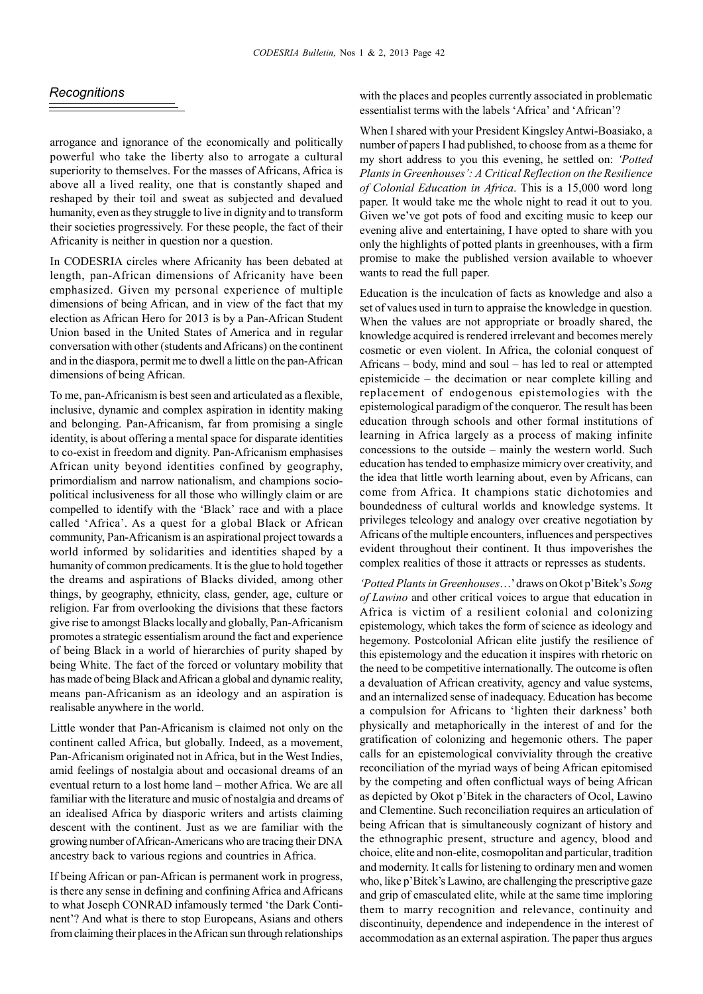### *Recognitions*

arrogance and ignorance of the economically and politically powerful who take the liberty also to arrogate a cultural superiority to themselves. For the masses of Africans, Africa is above all a lived reality, one that is constantly shaped and reshaped by their toil and sweat as subjected and devalued humanity, even as they struggle to live in dignity and to transform their societies progressively. For these people, the fact of their Africanity is neither in question nor a question.

In CODESRIA circles where Africanity has been debated at length, pan-African dimensions of Africanity have been emphasized. Given my personal experience of multiple dimensions of being African, and in view of the fact that my election as African Hero for 2013 is by a Pan-African Student Union based in the United States of America and in regular conversation with other (students and Africans) on the continent and in the diaspora, permit me to dwell a little on the pan-African dimensions of being African.

To me, pan-Africanism is best seen and articulated as a flexible, inclusive, dynamic and complex aspiration in identity making and belonging. Pan-Africanism, far from promising a single identity, is about offering a mental space for disparate identities to co-exist in freedom and dignity. Pan-Africanism emphasises African unity beyond identities confined by geography, primordialism and narrow nationalism, and champions sociopolitical inclusiveness for all those who willingly claim or are compelled to identify with the 'Black' race and with a place called 'Africa'. As a quest for a global Black or African community, Pan-Africanism is an aspirational project towards a world informed by solidarities and identities shaped by a humanity of common predicaments. It is the glue to hold together the dreams and aspirations of Blacks divided, among other things, by geography, ethnicity, class, gender, age, culture or religion. Far from overlooking the divisions that these factors give rise to amongst Blacks locally and globally, Pan-Africanism promotes a strategic essentialism around the fact and experience of being Black in a world of hierarchies of purity shaped by being White. The fact of the forced or voluntary mobility that has made of being Black and African a global and dynamic reality, means pan-Africanism as an ideology and an aspiration is realisable anywhere in the world.

Little wonder that Pan-Africanism is claimed not only on the continent called Africa, but globally. Indeed, as a movement, Pan-Africanism originated not in Africa, but in the West Indies, amid feelings of nostalgia about and occasional dreams of an eventual return to a lost home land – mother Africa. We are all familiar with the literature and music of nostalgia and dreams of an idealised Africa by diasporic writers and artists claiming descent with the continent. Just as we are familiar with the growing number of African-Americans who are tracing their DNA ancestry back to various regions and countries in Africa.

If being African or pan-African is permanent work in progress, is there any sense in defining and confining Africa and Africans to what Joseph CONRAD infamously termed 'the Dark Continent'? And what is there to stop Europeans, Asians and others from claiming their places in the African sun through relationships with the places and peoples currently associated in problematic essentialist terms with the labels 'Africa' and 'African'?

When I shared with your President Kingsley Antwi-Boasiako, a number of papers I had published, to choose from as a theme for my short address to you this evening, he settled on: *'Potted Plants in Greenhouses': A Critical Reflection on the Resilience of Colonial Education in Africa*. This is a 15,000 word long paper. It would take me the whole night to read it out to you. Given we've got pots of food and exciting music to keep our evening alive and entertaining, I have opted to share with you only the highlights of potted plants in greenhouses, with a firm promise to make the published version available to whoever wants to read the full paper.

Education is the inculcation of facts as knowledge and also a set of values used in turn to appraise the knowledge in question. When the values are not appropriate or broadly shared, the knowledge acquired is rendered irrelevant and becomes merely cosmetic or even violent. In Africa, the colonial conquest of Africans – body, mind and soul – has led to real or attempted epistemicide – the decimation or near complete killing and replacement of endogenous epistemologies with the epistemological paradigm of the conqueror. The result has been education through schools and other formal institutions of learning in Africa largely as a process of making infinite concessions to the outside – mainly the western world. Such education has tended to emphasize mimicry over creativity, and the idea that little worth learning about, even by Africans, can come from Africa. It champions static dichotomies and boundedness of cultural worlds and knowledge systems. It privileges teleology and analogy over creative negotiation by Africans of the multiple encounters, influences and perspectives evident throughout their continent. It thus impoverishes the complex realities of those it attracts or represses as students.

*'Potted Plants in Greenhouses*…' draws on Okot p'Bitek's *Song of Lawino* and other critical voices to argue that education in Africa is victim of a resilient colonial and colonizing epistemology, which takes the form of science as ideology and hegemony. Postcolonial African elite justify the resilience of this epistemology and the education it inspires with rhetoric on the need to be competitive internationally. The outcome is often a devaluation of African creativity, agency and value systems, and an internalized sense of inadequacy. Education has become a compulsion for Africans to 'lighten their darkness' both physically and metaphorically in the interest of and for the gratification of colonizing and hegemonic others. The paper calls for an epistemological conviviality through the creative reconciliation of the myriad ways of being African epitomised by the competing and often conflictual ways of being African as depicted by Okot p'Bitek in the characters of Ocol, Lawino and Clementine. Such reconciliation requires an articulation of being African that is simultaneously cognizant of history and the ethnographic present, structure and agency, blood and choice, elite and non-elite, cosmopolitan and particular, tradition and modernity. It calls for listening to ordinary men and women who, like p'Bitek's Lawino, are challenging the prescriptive gaze and grip of emasculated elite, while at the same time imploring them to marry recognition and relevance, continuity and discontinuity, dependence and independence in the interest of accommodation as an external aspiration. The paper thus argues